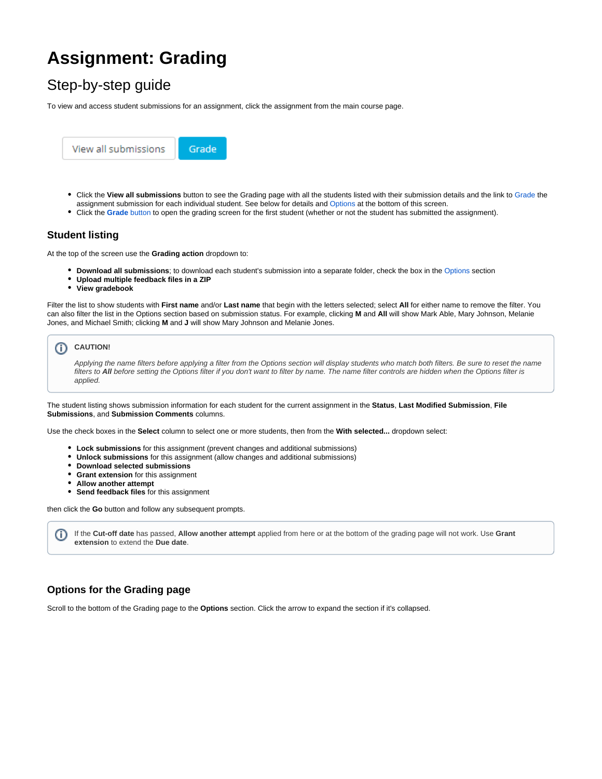# **Assignment: Grading**

## Step-by-step guide

To view and access student submissions for an assignment, click the assignment from the main course page.



- Click the **View all submissions** button to see the Grading page with all the students listed with their submission details and the link to [Grade](#page-1-0) the assignment submission for each individual student. See below for details and [Options](#page-0-0) at the bottom of this screen.
- Click the **Grade** [button](#page-1-0) to open the grading screen for the first student (whether or not the student has submitted the assignment).

#### **Student listing**

At the top of the screen use the **Grading action** dropdown to:

- **Download all submissions**; to download each student's submission into a separate folder, check the box in the [Options](#page-0-0) section
- **Upload multiple feedback files in a ZIP**
- **View gradebook**

<span id="page-0-1"></span>Filter the list to show students with **First name** and/or **Last name** that begin with the letters selected; select **All** for either name to remove the filter. You can also filter the list in the Options section based on submission status. For example, clicking **M** and **All** will show Mark Able, Mary Johnson, Melanie Jones, and Michael Smith; clicking **M** and **J** will show Mary Johnson and Melanie Jones.



Applying the name filters before applying a filter from the Options section will display students who match both filters. Be sure to reset the name filters to All before setting the Options filter if you don't want to filter by name. The name filter controls are hidden when the Options filter is applied.

The student listing shows submission information for each student for the current assignment in the **Status**, **Last Modified Submission**, **File Submissions**, and **Submission Comments** columns.

Use the check boxes in the **Select** column to select one or more students, then from the **With selected...** dropdown select:

- **Lock submissions** for this assignment (prevent changes and additional submissions)
- **Unlock submissions** for this assignment (allow changes and additional submissions)
- **Download selected submissions**
- **Grant extension** for this assignment
- **Allow another attempt**
- **Send feedback files** for this assignment

then click the **Go** button and follow any subsequent prompts.

If the **Cut-off date** has passed, **Allow another attempt** applied from here or at the bottom of the grading page will not work. Use **Grant**  O) **extension** to extend the **Due date**.

#### <span id="page-0-0"></span>**Options for the Grading page**

Scroll to the bottom of the Grading page to the **Options** section. Click the arrow to expand the section if it's collapsed.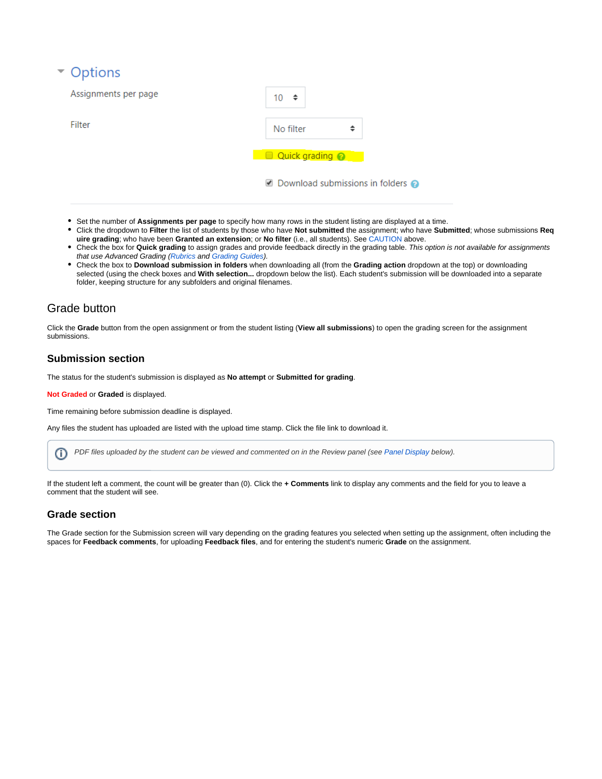## ▼ Options

| Assignments per page | 10<br>- ≑                           |
|----------------------|-------------------------------------|
| Filter               | No filter                           |
|                      | Quick grading @                     |
|                      | ■ Download submissions in folders ? |

- Set the number of **Assignments per page** to specify how many rows in the student listing are displayed at a time.
- $\bullet$ Click the dropdown to **Filter** the list of students by those who have **Not submitted** the assignment; who have **Submitted**; whose submissions **Req uire grading**; who have been **Granted an extension**; or **No filter** (i.e., all students). See [CAUTION](#page-0-1) above.
- Check the box for **Quick grading** to assign grades and provide feedback directly in the grading table. This option is not available for assignments that use Advanced Grading [\(Rubrics](https://confluence.appstate.edu/pages/viewpage.action?pageId=34112553) and [Grading Guides](https://confluence.appstate.edu//confluence.appstate.edu/confluence.appstate.edu/pages/editpage.action?pageId=34112551)).
- Check the box to **Download submission in folders** when downloading all (from the **Grading action** dropdown at the top) or downloading selected (using the check boxes and **With selection...** dropdown below the list). Each student's submission will be downloaded into a separate folder, keeping structure for any subfolders and original filenames.

## <span id="page-1-0"></span>Grade button

Click the **Grade** button from the open assignment or from the student listing (**View all submissions**) to open the grading screen for the assignment submissions.

### **Submission section**

The status for the student's submission is displayed as **No attempt** or **Submitted for grading**.

**Not Graded** or **Graded** is displayed.

Time remaining before submission deadline is displayed.

Any files the student has uploaded are listed with the upload time stamp. Click the file link to download it.

PDF files uploaded by the student can be viewed and commented on in the Review panel (see [Panel Display](#page-2-0) below). G)

If the student left a comment, the count will be greater than (0). Click the **+ Comments** link to display any comments and the field for you to leave a comment that the student will see.

## **Grade section**

The Grade section for the Submission screen will vary depending on the grading features you selected when setting up the assignment, often including the spaces for **Feedback comments**, for uploading **Feedback files**, and for entering the student's numeric **Grade** on the assignment.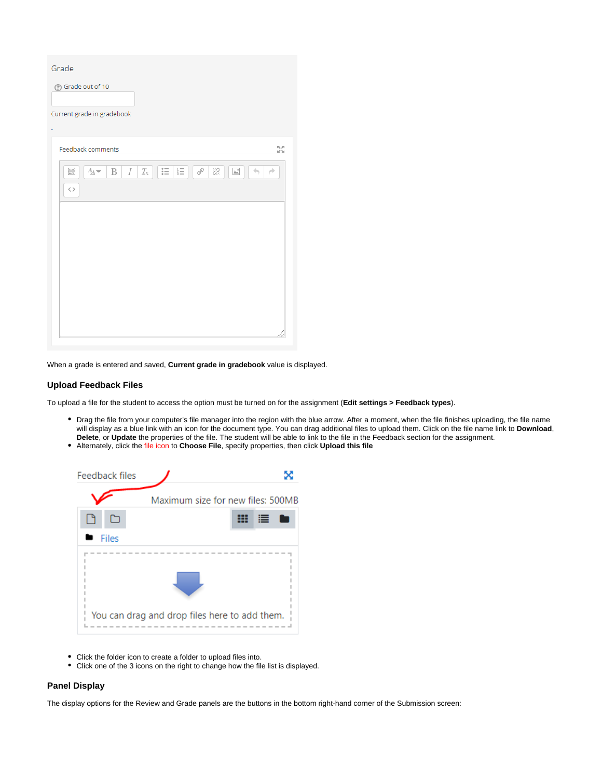| Grade                                                                                                                                                              |
|--------------------------------------------------------------------------------------------------------------------------------------------------------------------|
| 7 Grade out of 10                                                                                                                                                  |
|                                                                                                                                                                    |
| Current grade in gradebook                                                                                                                                         |
|                                                                                                                                                                    |
| 52<br>KN<br><b>Feedback comments</b>                                                                                                                               |
| $\mathrel{\mathop:}=$<br>這<br>$rac{1}{2}$<br>$T_{\rm X}$<br>ेरे<br>I<br>$\mathcal{S}^{\circ}$<br>$A_{\underline{A}}$<br>B<br>$\mathbb{A}^*$<br>÷.<br>$\rightarrow$ |
| $\langle$ $\rangle$                                                                                                                                                |
|                                                                                                                                                                    |
|                                                                                                                                                                    |
|                                                                                                                                                                    |
|                                                                                                                                                                    |
|                                                                                                                                                                    |
|                                                                                                                                                                    |
|                                                                                                                                                                    |
|                                                                                                                                                                    |
|                                                                                                                                                                    |

When a grade is entered and saved, **Current grade in gradebook** value is displayed.

#### **Upload Feedback Files**

To upload a file for the student to access the option must be turned on for the assignment (**Edit settings > Feedback types**).

- Drag the file from your computer's file manager into the region with the blue arrow. After a moment, when the file finishes uploading, the file name will display as a blue link with an icon for the document type. You can drag additional files to upload them. Click on the file name link to **Download**, **Delete**, or **Update** the properties of the file. The student will be able to link to the file in the Feedback section for the assignment.
- Alternately, click the file icon to **Choose File**, specify properties, then click **Upload this file**

| Feedback files |                                               |  |
|----------------|-----------------------------------------------|--|
|                | Maximum size for new files: 500MB             |  |
|                | 這                                             |  |
| Files          |                                               |  |
|                |                                               |  |
|                |                                               |  |
|                | You can drag and drop files here to add them. |  |

- Click the folder icon to create a folder to upload files into.
- Click one of the 3 icons on the right to change how the file list is displayed.

#### <span id="page-2-0"></span>**Panel Display**

The display options for the Review and Grade panels are the buttons in the bottom right-hand corner of the Submission screen: